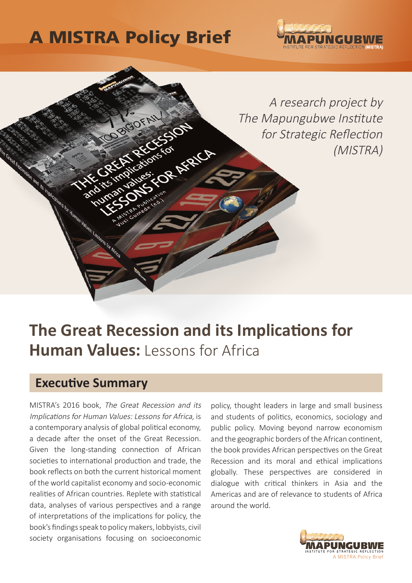# A MISTRA Policy Brief

BIGOFAI



A research project by The Mapungubwe Institute for Strategic Reflection (MISTRA)

## **The Great Recession and its Implications for Human Values:** Lessons for Africa

### **Executive Summary**

MISTRA's 2016 book, The Great Recession and its Implications for Human Values: Lessons for Africa, is a contemporary analysis of global political economy, a decade after the onset of the Great Recession. Given the long-standing connection of African societies to international production and trade, the book reflects on both the current historical moment of the world capitalist economy and socio-economic realities of African countries. Replete with statistical data, analyses of various perspectives and a range of interpretations of the implications for policy, the book's findings speak to policy makers, lobbyists, civil society organisations focusing on socioeconomic

policy, thought leaders in large and small business and students of politics, economics, sociology and public policy. Moving beyond narrow economism and the geographic borders of the African continent, the book provides African perspectives on the Great Recession and its moral and ethical implications globally. These perspectives are considered in dialogue with critical thinkers in Asia and the Americas and are of relevance to students of Africa around the world.

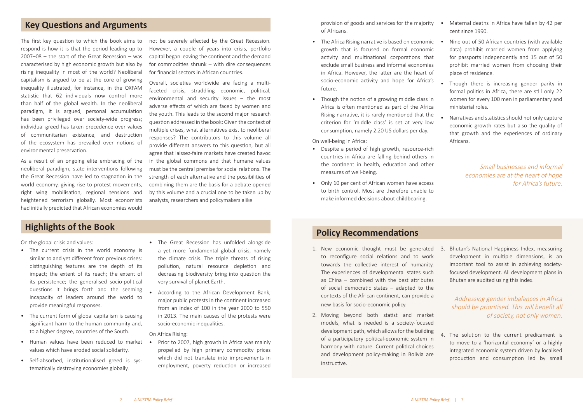The first key question to which the book aims to respond is how it is that the period leading up to 2007–08 – the start of the Great Recession – was characterised by high economic growth but also by rising inequality in most of the world? Neoliberal capitalism is argued to be at the core of growing inequality illustrated, for instance, in the OXFAM statistic that 62 individuals now control more than half of the global wealth. In the neoliberal paradigm, it is argued, personal accumulation has been privileged over society-wide progress; individual greed has taken precedence over values of communitarian existence, and destruction of the ecosystem has prevailed over notions of environmental preservation.

As a result of an ongoing elite embracing of the neoliberal paradigm, state interventions following the Great Recession have led to stagnation in the world economy, giving rise to protest movements, right wing mobilisation, regional tensions and heightened terrorism globally. Most economists had initially predicted that African economies would

On the global crisis and values:

- The Africa Rising narrative is based on economic growth that is focused on formal economic activity and multinational corporations that exclude small business and informal economies in Africa. However, the latter are the heart of socio-economic activity and hope for Africa's future.
- Though the notion of a growing middle class in Africa is often mentioned as part of the Africa Rising narrative, it is rarely mentioned that the criterion for 'middle class' is set at very low consumption, namely 2.20 US dollars per day.

- The current crisis in the world economy is similar to and yet different from previous crises: distinguishing features are the depth of its impact; the extent of its reach; the extent of its persistence; the generalised socio-political questions it brings forth and the seeming incapacity of leaders around the world to provide meaningful responses.
- The current form of global capitalism is causing significant harm to the human community and, to a higher degree, countries of the South.
- Human values have been reduced to market values which have eroded social solidarity.
- Self-absorbed, institutionalised greed is systematically destroying economies globally.

provision of goods and services for the majority of Africans.

On well-being in Africa:

- Despite a period of high growth, resource-rich countries in Africa are falling behind others in the continent in health, education and other measures of well-being.
- Only 10 per cent of African women have access to birth control. Most are therefore unable to make informed decisions about childbearing.

not be severely affected by the Great Recession. However, a couple of years into crisis, portfolio capital began leaving the continent and the demand for commodities shrunk – with dire consequences for financial sectors in African countries.

Overall, societies worldwide are facing a multifaceted crisis, straddling economic, political, environmental and security issues – the most adverse effects of which are faced by women and the youth. This leads to the second major research question addressed in the book: Given the context of multiple crises, what alternatives exist to neoliberal responses? The contributors to this volume all provide different answers to this question, but all agree that laissez-faire markets have created havoc in the global commons and that humane values must be the central premise for social relations. The strength of each alternative and the possibilities of combining them are the basis for a debate opened by this volume and a crucial one to be taken up by analysts, researchers and policymakers alike

# **Highlights of the Book Policy Recommendations**

1. New economic thought must be generated 3. Bhutan's National Happiness Index, measuring development in multiple dimensions, is an important tool to assist in achieving societyfocused development. All development plans in Bhutan are audited using this index.

- to reconfigure social relations and to work towards the collective interest of humanity. The experiences of developmental states such as China – combined with the best attributes of social democratic states – adapted to the contexts of the African continent, can provide a new basis for socio-economic policy.
- 2. Moving beyond both statist and market models, what is needed is a society-focused development path, which allows for the building of a participatory political-economic system in harmony with nature. Current political choices and development policy-making in Bolivia are instructive. 4. The solution to the current predicament is to move to a 'horizontal economy' or a highly integrated economic system driven by localised production and consumption led by small
- The Great Recession has unfolded alongside a yet more fundamental global crisis, namely the climate crisis. The triple threats of rising pollution, natural resource depletion and decreasing biodiversity bring into question the very survival of planet Earth.
- According to the African Development Bank, major public protests in the continent increased from an index of 100 in the year 2000 to 550 in 2013. The main causes of the protests were socio-economic inequalities.

On Africa Rising:

• Prior to 2007, high growth in Africa was mainly propelled by high primary commodity prices which did not translate into improvements in employment, poverty reduction or increased

- Maternal deaths in Africa have fallen by 42 per cent since 1990.
- Nine out of 50 African countries (with available data) prohibit married women from applying for passports independently and 15 out of 50 prohibit married women from choosing their place of residence.
- Though there is increasing gender parity in formal politics in Africa, there are still only 22 women for every 100 men in parliamentary and ministerial roles.
- Narratives and statistics should not only capture economic growth rates but also the quality of that growth and the experiences of ordinary Africans.

### **Key Questions and Arguments**

Small businesses and informal economies are at the heart of hope for Africa's future.

#### Addressing gender imbalances in Africa should be prioritised. This will benefit all of society, not only women.